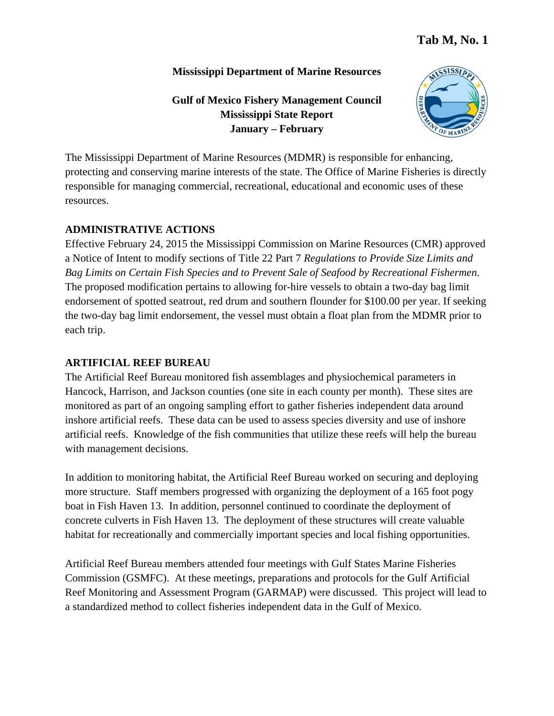#### **Mississippi Department of Marine Resources**

# **Gulf of Mexico Fishery Management Council Mississippi State Report January – February**



The Mississippi Department of Marine Resources (MDMR) is responsible for enhancing, protecting and conserving marine interests of the state. The Office of Marine Fisheries is directly responsible for managing commercial, recreational, educational and economic uses of these resources.

# **ADMINISTRATIVE ACTIONS**

Effective February 24, 2015 the Mississippi Commission on Marine Resources (CMR) approved a Notice of Intent to modify sections of Title 22 Part 7 *Regulations to Provide Size Limits and Bag Limits on Certain Fish Species and to Prevent Sale of Seafood by Recreational Fishermen*. The proposed modification pertains to allowing for-hire vessels to obtain a two-day bag limit endorsement of spotted seatrout, red drum and southern flounder for \$100.00 per year. If seeking the two-day bag limit endorsement, the vessel must obtain a float plan from the MDMR prior to each trip.

## **ARTIFICIAL REEF BUREAU**

The Artificial Reef Bureau monitored fish assemblages and physiochemical parameters in Hancock, Harrison, and Jackson counties (one site in each county per month). These sites are monitored as part of an ongoing sampling effort to gather fisheries independent data around inshore artificial reefs. These data can be used to assess species diversity and use of inshore artificial reefs. Knowledge of the fish communities that utilize these reefs will help the bureau with management decisions.

In addition to monitoring habitat, the Artificial Reef Bureau worked on securing and deploying more structure. Staff members progressed with organizing the deployment of a 165 foot pogy boat in Fish Haven 13. In addition, personnel continued to coordinate the deployment of concrete culverts in Fish Haven 13. The deployment of these structures will create valuable habitat for recreationally and commercially important species and local fishing opportunities.

Artificial Reef Bureau members attended four meetings with Gulf States Marine Fisheries Commission (GSMFC). At these meetings, preparations and protocols for the Gulf Artificial Reef Monitoring and Assessment Program (GARMAP) were discussed. This project will lead to a standardized method to collect fisheries independent data in the Gulf of Mexico.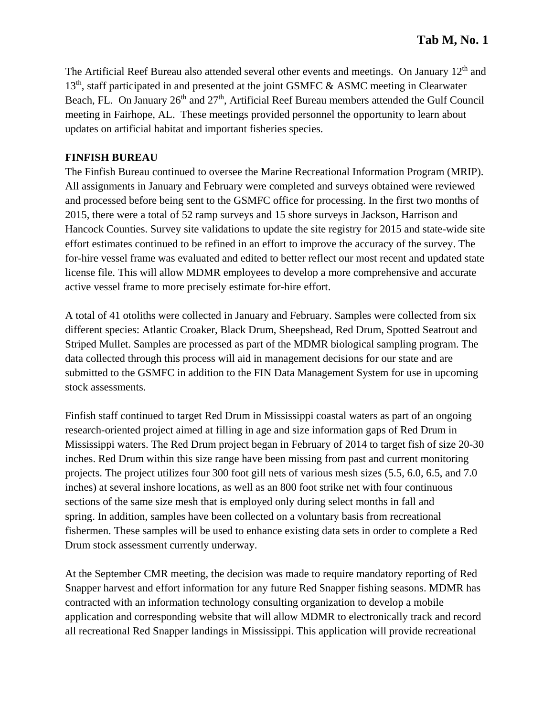The Artificial Reef Bureau also attended several other events and meetings. On January 12<sup>th</sup> and  $13<sup>th</sup>$ , staff participated in and presented at the joint GSMFC & ASMC meeting in Clearwater Beach, FL. On January 26<sup>th</sup> and 27<sup>th</sup>, Artificial Reef Bureau members attended the Gulf Council meeting in Fairhope, AL. These meetings provided personnel the opportunity to learn about updates on artificial habitat and important fisheries species.

#### **FINFISH BUREAU**

The Finfish Bureau continued to oversee the Marine Recreational Information Program (MRIP). All assignments in January and February were completed and surveys obtained were reviewed and processed before being sent to the GSMFC office for processing. In the first two months of 2015, there were a total of 52 ramp surveys and 15 shore surveys in Jackson, Harrison and Hancock Counties. Survey site validations to update the site registry for 2015 and state-wide site effort estimates continued to be refined in an effort to improve the accuracy of the survey. The for-hire vessel frame was evaluated and edited to better reflect our most recent and updated state license file. This will allow MDMR employees to develop a more comprehensive and accurate active vessel frame to more precisely estimate for-hire effort.

A total of 41 otoliths were collected in January and February. Samples were collected from six different species: Atlantic Croaker, Black Drum, Sheepshead, Red Drum, Spotted Seatrout and Striped Mullet. Samples are processed as part of the MDMR biological sampling program. The data collected through this process will aid in management decisions for our state and are submitted to the GSMFC in addition to the FIN Data Management System for use in upcoming stock assessments.

Finfish staff continued to target Red Drum in Mississippi coastal waters as part of an ongoing research-oriented project aimed at filling in age and size information gaps of Red Drum in Mississippi waters. The Red Drum project began in February of 2014 to target fish of size 20-30 inches. Red Drum within this size range have been missing from past and current monitoring projects. The project utilizes four 300 foot gill nets of various mesh sizes (5.5, 6.0, 6.5, and 7.0 inches) at several inshore locations, as well as an 800 foot strike net with four continuous sections of the same size mesh that is employed only during select months in fall and spring. In addition, samples have been collected on a voluntary basis from recreational fishermen. These samples will be used to enhance existing data sets in order to complete a Red Drum stock assessment currently underway.

At the September CMR meeting, the decision was made to require mandatory reporting of Red Snapper harvest and effort information for any future Red Snapper fishing seasons. MDMR has contracted with an information technology consulting organization to develop a mobile application and corresponding website that will allow MDMR to electronically track and record all recreational Red Snapper landings in Mississippi. This application will provide recreational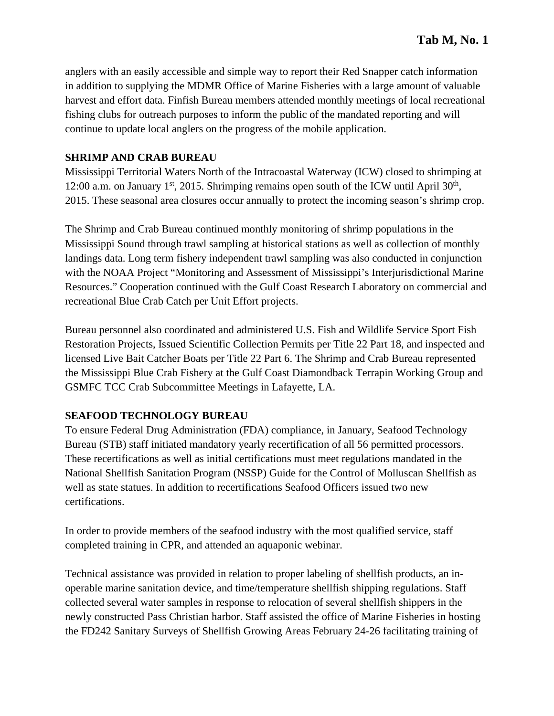anglers with an easily accessible and simple way to report their Red Snapper catch information in addition to supplying the MDMR Office of Marine Fisheries with a large amount of valuable harvest and effort data. Finfish Bureau members attended monthly meetings of local recreational fishing clubs for outreach purposes to inform the public of the mandated reporting and will continue to update local anglers on the progress of the mobile application.

## **SHRIMP AND CRAB BUREAU**

Mississippi Territorial Waters North of the Intracoastal Waterway (ICW) closed to shrimping at 12:00 a.m. on January 1<sup>st</sup>, 2015. Shrimping remains open south of the ICW until April 30<sup>th</sup>, 2015. These seasonal area closures occur annually to protect the incoming season's shrimp crop.

The Shrimp and Crab Bureau continued monthly monitoring of shrimp populations in the Mississippi Sound through trawl sampling at historical stations as well as collection of monthly landings data. Long term fishery independent trawl sampling was also conducted in conjunction with the NOAA Project "Monitoring and Assessment of Mississippi's Interjurisdictional Marine Resources." Cooperation continued with the Gulf Coast Research Laboratory on commercial and recreational Blue Crab Catch per Unit Effort projects.

Bureau personnel also coordinated and administered U.S. Fish and Wildlife Service Sport Fish Restoration Projects, Issued Scientific Collection Permits per Title 22 Part 18, and inspected and licensed Live Bait Catcher Boats per Title 22 Part 6. The Shrimp and Crab Bureau represented the Mississippi Blue Crab Fishery at the Gulf Coast Diamondback Terrapin Working Group and GSMFC TCC Crab Subcommittee Meetings in Lafayette, LA.

## **SEAFOOD TECHNOLOGY BUREAU**

To ensure Federal Drug Administration (FDA) compliance, in January, Seafood Technology Bureau (STB) staff initiated mandatory yearly recertification of all 56 permitted processors. These recertifications as well as initial certifications must meet regulations mandated in the National Shellfish Sanitation Program (NSSP) Guide for the Control of Molluscan Shellfish as well as state statues. In addition to recertifications Seafood Officers issued two new certifications.

In order to provide members of the seafood industry with the most qualified service, staff completed training in CPR, and attended an aquaponic webinar.

Technical assistance was provided in relation to proper labeling of shellfish products, an inoperable marine sanitation device, and time/temperature shellfish shipping regulations. Staff collected several water samples in response to relocation of several shellfish shippers in the newly constructed Pass Christian harbor. Staff assisted the office of Marine Fisheries in hosting the FD242 Sanitary Surveys of Shellfish Growing Areas February 24-26 facilitating training of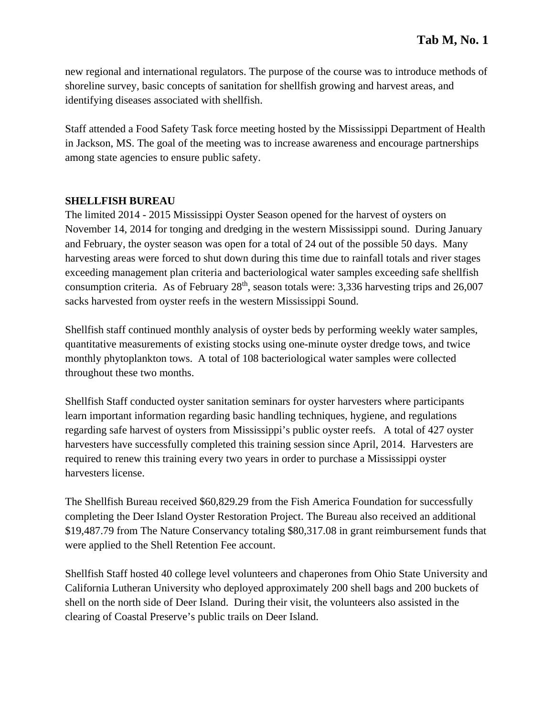new regional and international regulators. The purpose of the course was to introduce methods of shoreline survey, basic concepts of sanitation for shellfish growing and harvest areas, and identifying diseases associated with shellfish.

Staff attended a Food Safety Task force meeting hosted by the Mississippi Department of Health in Jackson, MS. The goal of the meeting was to increase awareness and encourage partnerships among state agencies to ensure public safety.

#### **SHELLFISH BUREAU**

The limited 2014 - 2015 Mississippi Oyster Season opened for the harvest of oysters on November 14, 2014 for tonging and dredging in the western Mississippi sound. During January and February, the oyster season was open for a total of 24 out of the possible 50 days. Many harvesting areas were forced to shut down during this time due to rainfall totals and river stages exceeding management plan criteria and bacteriological water samples exceeding safe shellfish consumption criteria. As of February  $28<sup>th</sup>$ , season totals were: 3,336 harvesting trips and 26,007 sacks harvested from oyster reefs in the western Mississippi Sound.

Shellfish staff continued monthly analysis of oyster beds by performing weekly water samples, quantitative measurements of existing stocks using one-minute oyster dredge tows, and twice monthly phytoplankton tows. A total of 108 bacteriological water samples were collected throughout these two months.

Shellfish Staff conducted oyster sanitation seminars for oyster harvesters where participants learn important information regarding basic handling techniques, hygiene, and regulations regarding safe harvest of oysters from Mississippi's public oyster reefs. A total of 427 oyster harvesters have successfully completed this training session since April, 2014. Harvesters are required to renew this training every two years in order to purchase a Mississippi oyster harvesters license.

The Shellfish Bureau received \$60,829.29 from the Fish America Foundation for successfully completing the Deer Island Oyster Restoration Project. The Bureau also received an additional \$19,487.79 from The Nature Conservancy totaling \$80,317.08 in grant reimbursement funds that were applied to the Shell Retention Fee account.

Shellfish Staff hosted 40 college level volunteers and chaperones from Ohio State University and California Lutheran University who deployed approximately 200 shell bags and 200 buckets of shell on the north side of Deer Island. During their visit, the volunteers also assisted in the clearing of Coastal Preserve's public trails on Deer Island.